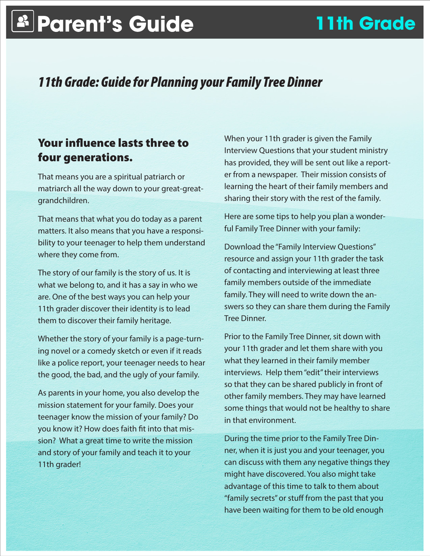## **Parent's Guide 11th Grade**

## *11th Grade: Guide for Planning your Family Tree Dinner*

## Your influence lasts three to four generations.

That means you are a spiritual patriarch or matriarch all the way down to your great-greatgrandchildren.

That means that what you do today as a parent matters. It also means that you have a responsibility to your teenager to help them understand where they come from.

The story of our family is the story of us. It is what we belong to, and it has a say in who we are. One of the best ways you can help your 11th grader discover their identity is to lead them to discover their family heritage.

Whether the story of your family is a page-turning novel or a comedy sketch or even if it reads like a police report, your teenager needs to hear the good, the bad, and the ugly of your family.

As parents in your home, you also develop the mission statement for your family. Does your teenager know the mission of your family? Do you know it? How does faith fit into that mission? What a great time to write the mission and story of your family and teach it to your 11th grader!

When your 11th grader is given the Family Interview Questions that your student ministry has provided, they will be sent out like a reporter from a newspaper. Their mission consists of learning the heart of their family members and sharing their story with the rest of the family.

Here are some tips to help you plan a wonderful Family Tree Dinner with your family:

Download the "Family Interview Questions" resource and assign your 11th grader the task of contacting and interviewing at least three family members outside of the immediate family. They will need to write down the answers so they can share them during the Family Tree Dinner.

Prior to the Family Tree Dinner, sit down with your 11th grader and let them share with you what they learned in their family member interviews. Help them "edit" their interviews so that they can be shared publicly in front of other family members. They may have learned some things that would not be healthy to share in that environment.

During the time prior to the Family Tree Dinner, when it is just you and your teenager, you can discuss with them any negative things they might have discovered. You also might take advantage of this time to talk to them about "family secrets" or stuff from the past that you have been waiting for them to be old enough